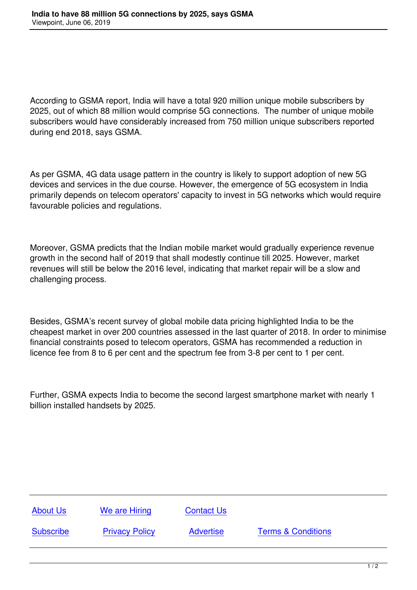According to GSMA report, India will have a total 920 million unique mobile subscribers by 2025, out of which 88 million would comprise 5G connections. The number of unique mobile subscribers would have considerably increased from 750 million unique subscribers reported during end 2018, says GSMA.

As per GSMA, 4G data usage pattern in the country is likely to support adoption of new 5G devices and services in the due course. However, the emergence of 5G ecosystem in India primarily depends on telecom operators' capacity to invest in 5G networks which would require favourable policies and regulations.

Moreover, GSMA predicts that the Indian mobile market would gradually experience revenue growth in the second half of 2019 that shall modestly continue till 2025. However, market revenues will still be below the 2016 level, indicating that market repair will be a slow and challenging process.

Besides, GSMA's recent survey of global mobile data pricing highlighted India to be the cheapest market in over 200 countries assessed in the last quarter of 2018. In order to minimise financial constraints posed to telecom operators, GSMA has recommended a reduction in licence fee from 8 to 6 per cent and the spectrum fee from 3-8 per cent to 1 per cent.

Further, GSMA expects India to become the second largest smartphone market with nearly 1 billion installed handsets by 2025.

| <b>About Us</b>  | We are Hiring         | <b>Contact Us</b> |                               |
|------------------|-----------------------|-------------------|-------------------------------|
| <b>Subscribe</b> | <b>Privacy Policy</b> | <b>Advertise</b>  | <b>Terms &amp; Conditions</b> |